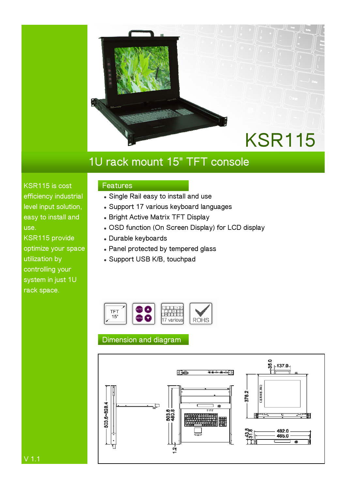

# **1U rack mount 15" TFT console**

**KSR115 is cost efficiency industrial level input solution, easy to install and use.** 

**KSR115 provide optimize your space utilization by controlling your system in just 1U rack space.** 

## **Features**

- $\bullet$  Single Rail easy to install and use
- **Support 17 various keyboard languages**
- **Bright Active Matrix TFT Display**
- **OSD function (On Screen Display) for LCD display**
- <sup>z</sup> **Durable keyboards**
- $\bullet$  Panel protected by tempered glass
- <sup>z</sup> **Support USB K/B, touchpad**



## **Dimension and diagram**